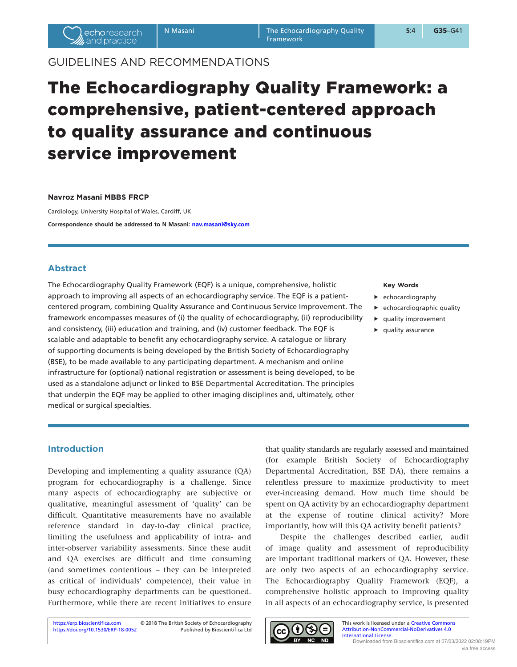# GUIDELINES AND RECOMMENDATIONS

# The Echocardiography Quality Framework: a comprehensive, patient-centered approach to quality assurance and continuous service improvement

#### **Navroz Masani MBBS FRCP**

Cardiology, University Hospital of Wales, Cardiff, UK **Correspondence should be addressed to N Masani: [nav.masani@sky.com](mailto:nav.masani@sky.com)**

### **Abstract**

The Echocardiography Quality Framework (EQF) is a unique, comprehensive, holistic approach to improving all aspects of an echocardiography service. The EQF is a patientcentered program, combining Quality Assurance and Continuous Service Improvement. The framework encompasses measures of (i) the quality of echocardiography, (ii) reproducibility and consistency, (iii) education and training, and (iv) customer feedback. The EQF is scalable and adaptable to benefit any echocardiography service. A catalogue or library of supporting documents is being developed by the British Society of Echocardiography (BSE), to be made available to any participating department. A mechanism and online infrastructure for (optional) national registration or assessment is being developed, to be used as a standalone adjunct or linked to BSE Departmental Accreditation. The principles that underpin the EQF may be applied to other imaging disciplines and, ultimately, other medical or surgical specialties.

#### **Key Words**

- $\blacktriangleright$  echocardiography
- $\blacktriangleright$  echocardiographic quality
- $\blacktriangleright$  quality improvement
- $\blacktriangleright$  quality assurance

## **Introduction**

Developing and implementing a quality assurance (QA) program for echocardiography is a challenge. Since many aspects of echocardiography are subjective or qualitative, meaningful assessment of 'quality' can be difficult. Quantitative measurements have no available reference standard in day-to-day clinical practice, limiting the usefulness and applicability of intra- and inter-observer variability assessments. Since these audit and QA exercises are difficult and time consuming (and sometimes contentious – they can be interpreted as critical of individuals' competence), their value in busy echocardiography departments can be questioned. Furthermore, while there are recent initiatives to ensure

that quality standards are regularly assessed and maintained (for example British Society of Echocardiography Departmental Accreditation, BSE DA), there remains a relentless pressure to maximize productivity to meet ever-increasing demand. How much time should be spent on QA activity by an echocardiography department at the expense of routine clinical activity? More importantly, how will this QA activity benefit patients?

Despite the challenges described earlier, audit of image quality and assessment of reproducibility are important traditional markers of QA. However, these are only two aspects of an echocardiography service. The Echocardiography Quality Framework (EQF), a comprehensive holistic approach to improving quality in all aspects of an echocardiography service, is presented

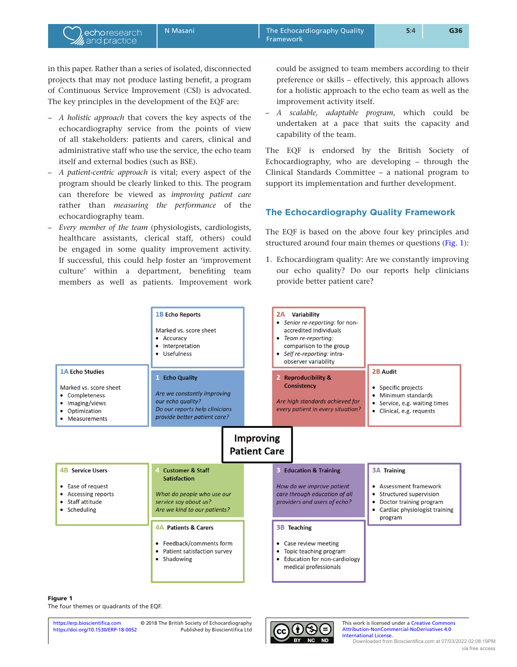<span id="page-1-0"></span>in this paper. Rather than a series of isolated, disconnected projects that may not produce lasting benefit, a program of Continuous Service Improvement (CSI) is advocated. The key principles in the development of the EQF are:

echoresearch and practice

- *A holistic approach* that covers the key aspects of the echocardiography service from the points of view of all stakeholders: patients and carers, clinical and administrative staff who use the service, the echo team itself and external bodies (such as BSE).
- *A patient-centric approach* is vital; every aspect of the program should be clearly linked to this. The program can therefore be viewed as *improving patient care* rather than *measuring the performance* of the echocardiography team.
- *Every member of the team* (physiologists, cardiologists, healthcare assistants, clerical staff, others) could be engaged in some quality improvement activity. If successful, this could help foster an 'improvement culture' within a department, benefiting team members as well as patients. Improvement work

could be assigned to team members according to their preference or skills – effectively, this approach allows for a holistic approach to the echo team as well as the improvement activity itself.

– *A scalable, adaptable program*, which could be undertaken at a pace that suits the capacity and capability of the team.

The EQF is endorsed by the British Society of Echocardiography, who are developing – through the Clinical Standards Committee – a national program to support its implementation and further development.

### **The Echocardiography Quality Framework**

The EQF is based on the above four key principles and structured around four main themes or questions (Fig. 1):

1. Echocardiogram quality: Are we constantly improving our echo quality? Do our reports help clinicians provide better patient care?



#### Figure 1

The four themes or quadrants of the EQF.



This work is licensed under a Creative Commons [Attribution-NonCommercial-NoDerivatives 4.0](https://creativecommons.org/licenses/by-nc-nd/4.0/)  [International License.](https://creativecommons.org/licenses/by-nc-nd/4.0/) Downloaded from Bioscientifica.com at 07/03/2022 02:08:19PM via free access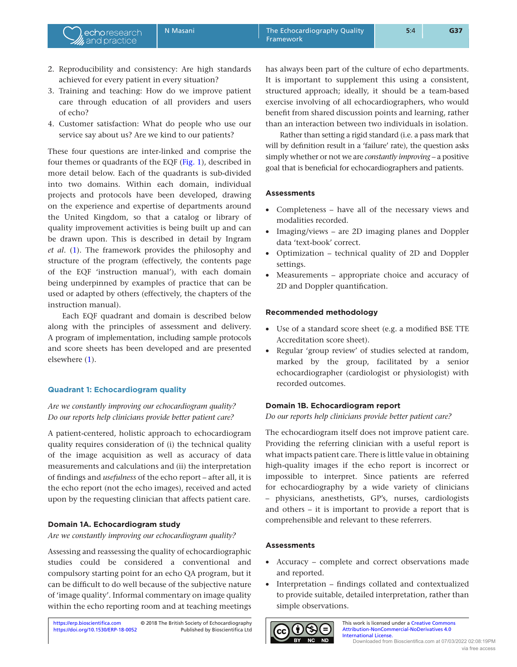2. Reproducibility and consistency: Are high standards achieved for every patient in every situation?

echoresearch and practice

- 3. Training and teaching: How do we improve patient care through education of all providers and users of echo?
- 4. Customer satisfaction: What do people who use our service say about us? Are we kind to our patients?

These four questions are inter-linked and comprise the four themes or quadrants of the EQF [\(Fig. 1\)](#page-1-0), described in more detail below. Each of the quadrants is sub-divided into two domains. Within each domain, individual projects and protocols have been developed, drawing on the experience and expertise of departments around the United Kingdom, so that a catalog or library of quality improvement activities is being built up and can be drawn upon. This is described in detail by Ingram *et al*. ([1](#page-6-0)). The framework provides the philosophy and structure of the program (effectively, the contents page of the EQF 'instruction manual'), with each domain being underpinned by examples of practice that can be used or adapted by others (effectively, the chapters of the instruction manual).

Each EQF quadrant and domain is described below along with the principles of assessment and delivery. A program of implementation, including sample protocols and score sheets has been developed and are presented elsewhere [\(1](#page-6-0)).

### **Quadrant 1: Echocardiogram quality**

### *Are we constantly improving our echocardiogram quality? Do our reports help clinicians provide better patient care?*

A patient-centered, holistic approach to echocardiogram quality requires consideration of (i) the technical quality of the image acquisition as well as accuracy of data measurements and calculations and (ii) the interpretation of findings and *usefulness* of the echo report – after all, it is the echo report (not the echo images), received and acted upon by the requesting clinician that affects patient care.

#### **Domain 1A. Echocardiogram study**

*Are we constantly improving our echocardiogram quality?*

Assessing and reassessing the quality of echocardiographic studies could be considered a conventional and compulsory starting point for an echo QA program, but it can be difficult to do well because of the subjective nature of 'image quality'. Informal commentary on image quality within the echo reporting room and at teaching meetings

has always been part of the culture of echo departments. It is important to supplement this using a consistent, structured approach; ideally, it should be a team-based exercise involving of all echocardiographers, who would benefit from shared discussion points and learning, rather than an interaction between two individuals in isolation.

Rather than setting a rigid standard (i.e. a pass mark that will by definition result in a 'failure' rate), the question asks simply whether or not we are *constantly improving* – a positive goal that is beneficial for echocardiographers and patients.

#### **Assessments**

- Completeness have all of the necessary views and modalities recorded.
- Imaging/views are 2D imaging planes and Doppler data 'text-book' correct.
- Optimization technical quality of 2D and Doppler settings.
- Measurements appropriate choice and accuracy of 2D and Doppler quantification.

#### **Recommended methodology**

- Use of a standard score sheet (e.g. a modified BSE TTE Accreditation score sheet).
- Regular 'group review' of studies selected at random, marked by the group, facilitated by a senior echocardiographer (cardiologist or physiologist) with recorded outcomes.

### **Domain 1B. Echocardiogram report**

*Do our reports help clinicians provide better patient care?*

The echocardiogram itself does not improve patient care. Providing the referring clinician with a useful report is what impacts patient care. There is little value in obtaining high-quality images if the echo report is incorrect or impossible to interpret. Since patients are referred for echocardiography by a wide variety of clinicians – physicians, anesthetists, GP's, nurses, cardiologists and others – it is important to provide a report that is comprehensible and relevant to these referrers.

#### **Assessments**

- Accuracy complete and correct observations made and reported.
- Interpretation findings collated and contextualized to provide suitable, detailed interpretation, rather than simple observations.



This work is licensed under a Creative Commons [Attribution-NonCommercial-NoDerivatives 4.0](https://creativecommons.org/licenses/by-nc-nd/4.0/)  [International License.](https://creativecommons.org/licenses/by-nc-nd/4.0/) Downloaded from Bioscientifica.com at 07/03/2022 02:08:19PM via free access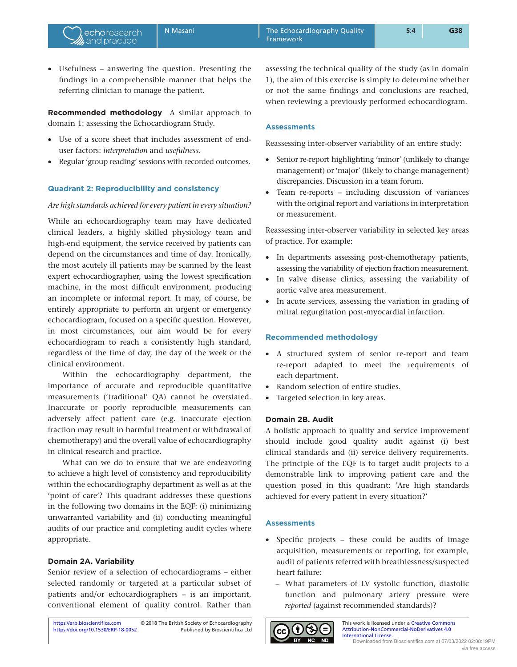• Usefulness – answering the question. Presenting the findings in a comprehensible manner that helps the referring clinician to manage the patient.

echoresearch and practice

**Recommended methodology** A similar approach to domain 1: assessing the Echocardiogram Study.

- Use of a score sheet that includes assessment of enduser factors: *interpretation* and *usefulness*.
- Regular 'group reading' sessions with recorded outcomes.

## **Quadrant 2: Reproducibility and consistency**

### *Are high standards achieved for every patient in every situation?*

While an echocardiography team may have dedicated clinical leaders, a highly skilled physiology team and high-end equipment, the service received by patients can depend on the circumstances and time of day. Ironically, the most acutely ill patients may be scanned by the least expert echocardiographer, using the lowest specification machine, in the most difficult environment, producing an incomplete or informal report. It may, of course, be entirely appropriate to perform an urgent or emergency echocardiogram, focused on a specific question. However, in most circumstances, our aim would be for every echocardiogram to reach a consistently high standard, regardless of the time of day, the day of the week or the clinical environment.

Within the echocardiography department, the importance of accurate and reproducible quantitative measurements ('traditional' QA) cannot be overstated. Inaccurate or poorly reproducible measurements can adversely affect patient care (e.g. inaccurate ejection fraction may result in harmful treatment or withdrawal of chemotherapy) and the overall value of echocardiography in clinical research and practice.

What can we do to ensure that we are endeavoring to achieve a high level of consistency and reproducibility within the echocardiography department as well as at the 'point of care'? This quadrant addresses these questions in the following two domains in the EQF: (i) minimizing unwarranted variability and (ii) conducting meaningful audits of our practice and completing audit cycles where appropriate.

### **Domain 2A. Variability**

Senior review of a selection of echocardiograms – either selected randomly or targeted at a particular subset of patients and/or echocardiographers – is an important, conventional element of quality control. Rather than

assessing the technical quality of the study (as in domain 1), the aim of this exercise is simply to determine whether or not the same findings and conclusions are reached, when reviewing a previously performed echocardiogram.

### **Assessments**

Reassessing inter-observer variability of an entire study:

- Senior re-report highlighting 'minor' (unlikely to change management) or 'major' (likely to change management) discrepancies. Discussion in a team forum.
- Team re-reports including discussion of variances with the original report and variations in interpretation or measurement.

Reassessing inter-observer variability in selected key areas of practice. For example:

- In departments assessing post-chemotherapy patients, assessing the variability of ejection fraction measurement.
- In valve disease clinics, assessing the variability of aortic valve area measurement.
- In acute services, assessing the variation in grading of mitral regurgitation post-myocardial infarction.

### **Recommended methodology**

- A structured system of senior re-report and team re-report adapted to meet the requirements of each department.
- Random selection of entire studies.
- Targeted selection in key areas.

### **Domain 2B. Audit**

A holistic approach to quality and service improvement should include good quality audit against (i) best clinical standards and (ii) service delivery requirements. The principle of the EQF is to target audit projects to a demonstrable link to improving patient care and the question posed in this quadrant: 'Are high standards achieved for every patient in every situation?'

### **Assessments**

- Specific projects these could be audits of image acquisition, measurements or reporting, for example, audit of patients referred with breathlessness/suspected heart failure:
	- What parameters of LV systolic function, diastolic function and pulmonary artery pressure were *reported* (against recommended standards)?



This work is licensed under a [Creative Commons](https://creativecommons.org/licenses/by-nc-nd/4.0/)  [Attribution-NonCommercial-NoDerivatives 4.0](https://creativecommons.org/licenses/by-nc-nd/4.0/)  [International License.](https://creativecommons.org/licenses/by-nc-nd/4.0/) Downloaded from Bioscientifica.com at 07/03/2022 02:08:19PM via free access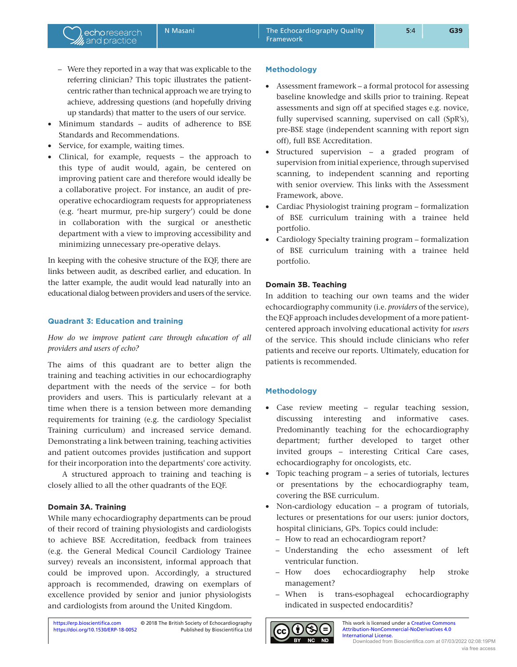- Were they reported in a way that was explicable to the referring clinician? This topic illustrates the patientcentric rather than technical approach we are trying to achieve, addressing questions (and hopefully driving up standards) that matter to the users of our service.
- Minimum standards audits of adherence to BSE Standards and Recommendations.
- Service, for example, waiting times.

echoresearch and practice

• Clinical, for example, requests – the approach to this type of audit would, again, be centered on improving patient care and therefore would ideally be a collaborative project. For instance, an audit of preoperative echocardiogram requests for appropriateness (e.g. 'heart murmur, pre-hip surgery') could be done in collaboration with the surgical or anesthetic department with a view to improving accessibility and minimizing unnecessary pre-operative delays.

In keeping with the cohesive structure of the EQF, there are links between audit, as described earlier, and education. In the latter example, the audit would lead naturally into an educational dialog between providers and users of the service.

### **Quadrant 3: Education and training**

# *How do we improve patient care through education of all providers and users of echo?*

The aims of this quadrant are to better align the training and teaching activities in our echocardiography department with the needs of the service – for both providers and users. This is particularly relevant at a time when there is a tension between more demanding requirements for training (e.g. the cardiology Specialist Training curriculum) and increased service demand. Demonstrating a link between training, teaching activities and patient outcomes provides justification and support for their incorporation into the departments' core activity.

A structured approach to training and teaching is closely allied to all the other quadrants of the EQF.

## **Domain 3A. Training**

While many echocardiography departments can be proud of their record of training physiologists and cardiologists to achieve BSE Accreditation, feedback from trainees (e.g. the General Medical Council Cardiology Trainee survey) reveals an inconsistent, informal approach that could be improved upon. Accordingly, a structured approach is recommended, drawing on exemplars of excellence provided by senior and junior physiologists and cardiologists from around the United Kingdom.

### **Methodology**

- Assessment framework a formal protocol for assessing baseline knowledge and skills prior to training. Repeat assessments and sign off at specified stages e.g. novice, fully supervised scanning, supervised on call (SpR's), pre-BSE stage (independent scanning with report sign off), full BSE Accreditation.
- Structured supervision a graded program of supervision from initial experience, through supervised scanning, to independent scanning and reporting with senior overview. This links with the Assessment Framework, above.
- Cardiac Physiologist training program formalization of BSE curriculum training with a trainee held portfolio.
- Cardiology Specialty training program formalization of BSE curriculum training with a trainee held portfolio.

### **Domain 3B. Teaching**

In addition to teaching our own teams and the wider echocardiography community (i.e. *providers* of the service), the EQF approach includes development of a more patientcentered approach involving educational activity for *users* of the service. This should include clinicians who refer patients and receive our reports. Ultimately, education for patients is recommended.

### **Methodology**

- Case review meeting regular teaching session, discussing interesting and informative cases. Predominantly teaching for the echocardiography department; further developed to target other invited groups – interesting Critical Care cases, echocardiography for oncologists, etc.
- Topic teaching program a series of tutorials, lectures or presentations by the echocardiography team, covering the BSE curriculum.
- Non-cardiology education a program of tutorials, lectures or presentations for our users: junior doctors, hospital clinicians, GPs. Topics could include:
	- How to read an echocardiogram report?
	- Understanding the echo assessment of left ventricular function.
	- How does echocardiography help stroke management?
	- When is trans-esophageal echocardiography indicated in suspected endocarditis?



This work is licensed under a Creative Commons [Attribution-NonCommercial-NoDerivatives 4.0](https://creativecommons.org/licenses/by-nc-nd/4.0/)  [International License.](https://creativecommons.org/licenses/by-nc-nd/4.0/) Downloaded from Bioscientifica.com at 07/03/2022 02:08:19PM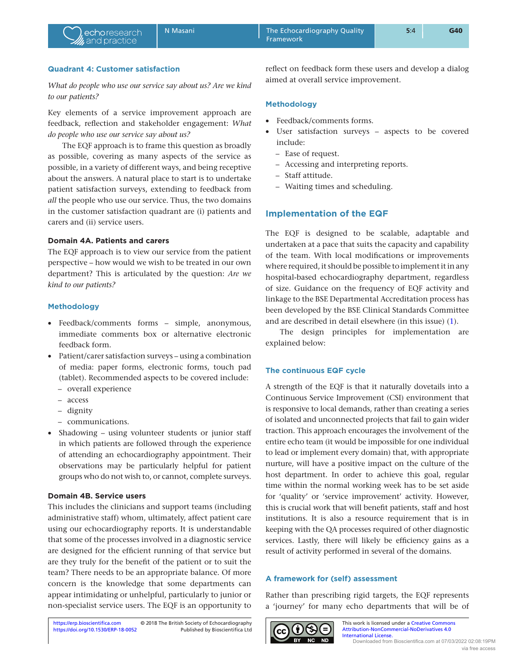# **Quadrant 4: Customer satisfaction**

*What do people who use our service say about us? Are we kind to our patients?*

Key elements of a service improvement approach are feedback, reflection and stakeholder engagement: *What do people who use our service say about us?*

The EQF approach is to frame this question as broadly as possible, covering as many aspects of the service as possible, in a variety of different ways, and being receptive about the answers. A natural place to start is to undertake patient satisfaction surveys, extending to feedback from *all* the people who use our service. Thus, the two domains in the customer satisfaction quadrant are (i) patients and carers and (ii) service users.

# **Domain 4A. Patients and carers**

The EQF approach is to view our service from the patient perspective – how would we wish to be treated in our own department? This is articulated by the question: *Are we kind to our patients?*

### **Methodology**

- Feedback/comments forms simple, anonymous, immediate comments box or alternative electronic feedback form.
- Patient/carer satisfaction surveys using a combination of media: paper forms, electronic forms, touch pad (tablet). Recommended aspects to be covered include:
	- overall experience
	- access
	- dignity
	- communications.
- Shadowing using volunteer students or junior staff in which patients are followed through the experience of attending an echocardiography appointment. Their observations may be particularly helpful for patient groups who do not wish to, or cannot, complete surveys.

### **Domain 4B. Service users**

This includes the clinicians and support teams (including administrative staff) whom, ultimately, affect patient care using our echocardiography reports. It is understandable that some of the processes involved in a diagnostic service are designed for the efficient running of that service but are they truly for the benefit of the patient or to suit the team? There needs to be an appropriate balance. Of more concern is the knowledge that some departments can appear intimidating or unhelpful, particularly to junior or non-specialist service users. The EQF is an opportunity to

reflect on feedback form these users and develop a dialog aimed at overall service improvement.

### **Methodology**

- Feedback/comments forms.
- User satisfaction surveys aspects to be covered include:
	- Ease of request.
	- Accessing and interpreting reports.
	- Staff attitude.
	- Waiting times and scheduling.

## **Implementation of the EQF**

The EQF is designed to be scalable, adaptable and undertaken at a pace that suits the capacity and capability of the team. With local modifications or improvements where required, it should be possible to implement it in any hospital-based echocardiography department, regardless of size. Guidance on the frequency of EQF activity and linkage to the BSE Departmental Accreditation process has been developed by the BSE Clinical Standards Committee and are described in detail elsewhere (in this issue) ([1\)](#page-6-0).

The design principles for implementation are explained below:

### **The continuous EQF cycle**

A strength of the EQF is that it naturally dovetails into a Continuous Service Improvement (CSI) environment that is responsive to local demands, rather than creating a series of isolated and unconnected projects that fail to gain wider traction. This approach encourages the involvement of the entire echo team (it would be impossible for one individual to lead or implement every domain) that, with appropriate nurture, will have a positive impact on the culture of the host department. In order to achieve this goal, regular time within the normal working week has to be set aside for 'quality' or 'service improvement' activity. However, this is crucial work that will benefit patients, staff and host institutions. It is also a resource requirement that is in keeping with the QA processes required of other diagnostic services. Lastly, there will likely be efficiency gains as a result of activity performed in several of the domains.

### **A framework for (self) assessment**

Rather than prescribing rigid targets, the EQF represents a 'journey' for many echo departments that will be of